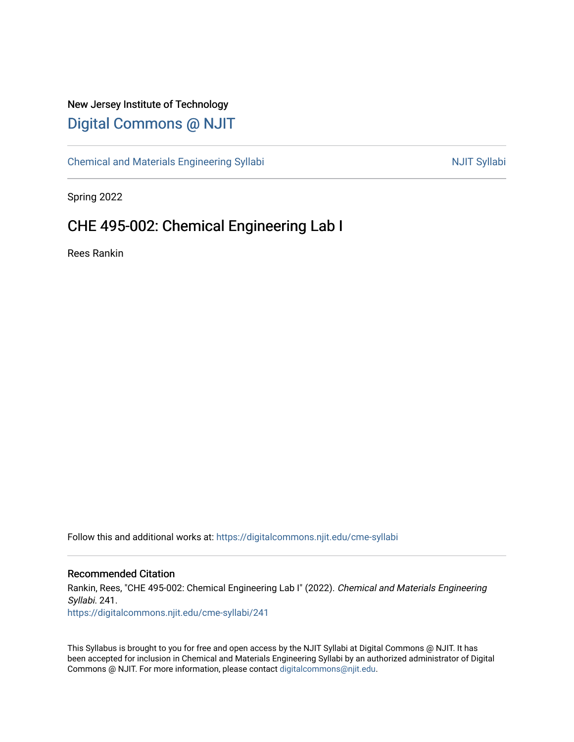# New Jersey Institute of Technology [Digital Commons @ NJIT](https://digitalcommons.njit.edu/)

[Chemical and Materials Engineering Syllabi](https://digitalcommons.njit.edu/cme-syllabi) Nulle and Syllabi Nulle Syllabi Nulle Syllabi Nulle Syllabi Nulle Syllabi

Spring 2022

# CHE 495-002: Chemical Engineering Lab I

Rees Rankin

Follow this and additional works at: [https://digitalcommons.njit.edu/cme-syllabi](https://digitalcommons.njit.edu/cme-syllabi?utm_source=digitalcommons.njit.edu%2Fcme-syllabi%2F241&utm_medium=PDF&utm_campaign=PDFCoverPages) 

# Recommended Citation

Rankin, Rees, "CHE 495-002: Chemical Engineering Lab I" (2022). Chemical and Materials Engineering Syllabi. 241. [https://digitalcommons.njit.edu/cme-syllabi/241](https://digitalcommons.njit.edu/cme-syllabi/241?utm_source=digitalcommons.njit.edu%2Fcme-syllabi%2F241&utm_medium=PDF&utm_campaign=PDFCoverPages) 

This Syllabus is brought to you for free and open access by the NJIT Syllabi at Digital Commons @ NJIT. It has been accepted for inclusion in Chemical and Materials Engineering Syllabi by an authorized administrator of Digital Commons @ NJIT. For more information, please contact [digitalcommons@njit.edu.](mailto:digitalcommons@njit.edu)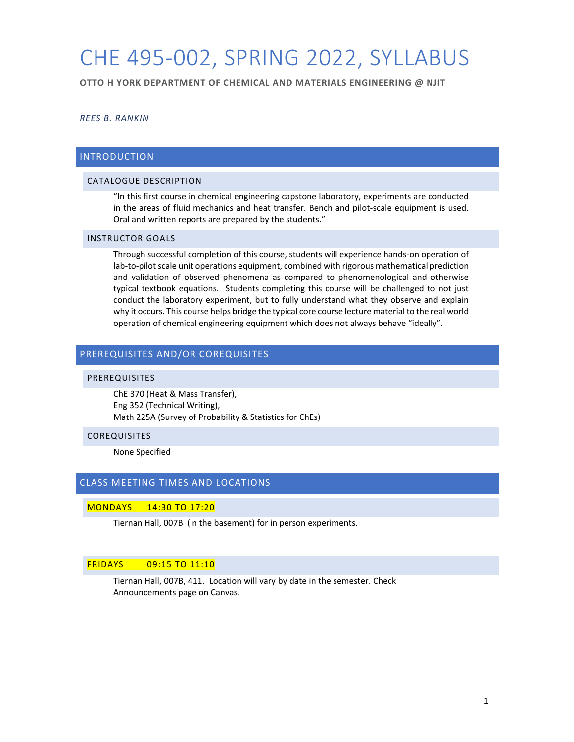# CHE 495-002, SPRING 2022, SYLLABUS

**OTTO H YORK DEPARTMENT OF CHEMICAL AND MATERIALS ENGINEERING @ NJIT**

# *REES B. RANKIN*

# INTRODUCTION

# CATALOGUE DESCRIPTION

"In this first course in chemical engineering capstone laboratory, experiments are conducted in the areas of fluid mechanics and heat transfer. Bench and pilot-scale equipment is used. Oral and written reports are prepared by the students."

# INSTRUCTOR GOALS

Through successful completion of this course, students will experience hands-on operation of lab-to-pilot scale unit operations equipment, combined with rigorous mathematical prediction and validation of observed phenomena as compared to phenomenological and otherwise typical textbook equations. Students completing this course will be challenged to not just conduct the laboratory experiment, but to fully understand what they observe and explain why it occurs. This course helps bridge the typical core course lecture material to the real world operation of chemical engineering equipment which does not always behave "ideally".

# PREREQUISITES AND/OR COREQUISITES

#### PREREQUISITES

ChE 370 (Heat & Mass Transfer), Eng 352 (Technical Writing), Math 225A (Survey of Probability & Statistics for ChEs)

#### COREQUISITES

None Specified

## CLASS MEETING TIMES AND LOCATIONS

#### MONDAYS 14:30 TO 17:20

Tiernan Hall, 007B (in the basement) for in person experiments.

#### FRIDAYS 09:15 TO 11:10

Tiernan Hall, 007B, 411. Location will vary by date in the semester. Check Announcements page on Canvas.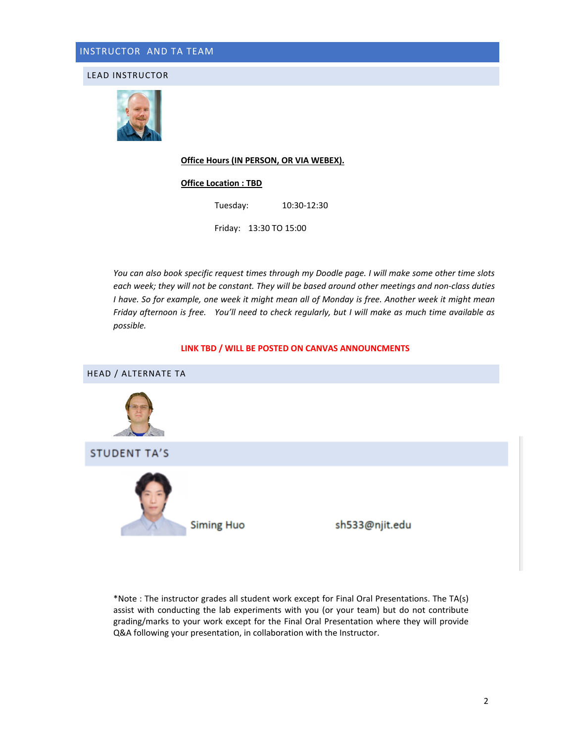LEAD INSTRUCTOR



#### **Office Hours (IN PERSON, OR VIA WEBEX).**

#### **Office Location : TBD**

Tuesday: 10:30-12:30

Friday: 13:30 TO 15:00

*You can also book specific request times through my Doodle page. I will make some other time slots each week; they will not be constant. They will be based around other meetings and non-class duties I have. So for example, one week it might mean all of Monday is free. Another week it might mean Friday afternoon is free. You'll need to check regularly, but I will make as much time available as possible.* 

#### **LINK TBD / WILL BE POSTED ON CANVAS ANNOUNCMENTS**



\*Note : The instructor grades all student work except for Final Oral Presentations. The TA(s) assist with conducting the lab experiments with you (or your team) but do not contribute grading/marks to your work except for the Final Oral Presentation where they will provide Q&A following your presentation, in collaboration with the Instructor.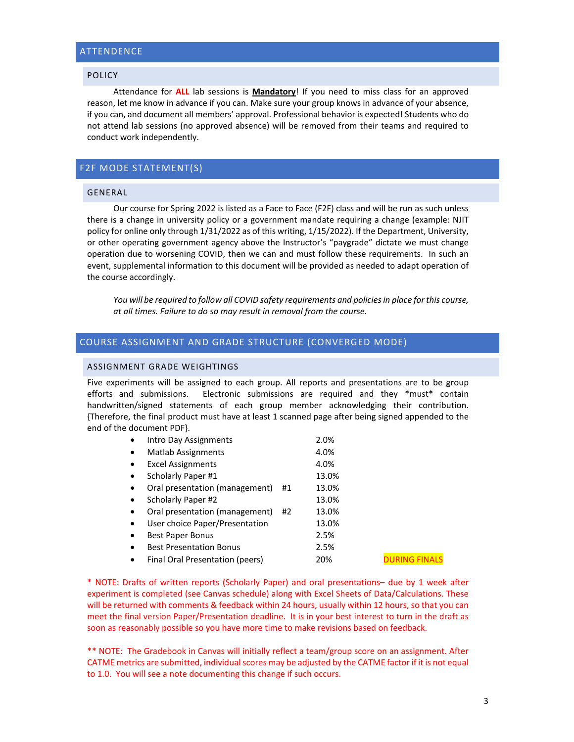# ATTENDENCE

## POLICY

Attendance for **ALL** lab sessions is **Mandatory**! If you need to miss class for an approved reason, let me know in advance if you can. Make sure your group knows in advance of your absence, if you can, and document all members' approval. Professional behavior is expected! Students who do not attend lab sessions (no approved absence) will be removed from their teams and required to conduct work independently.

# F2F MODE STATEMENT(S)

## GENERAL

Our course for Spring 2022 is listed as a Face to Face (F2F) class and will be run as such unless there is a change in university policy or a government mandate requiring a change (example: NJIT policy for online only through 1/31/2022 as of this writing, 1/15/2022). If the Department, University, or other operating government agency above the Instructor's "paygrade" dictate we must change operation due to worsening COVID, then we can and must follow these requirements. In such an event, supplemental information to this document will be provided as needed to adapt operation of the course accordingly.

*You will be required to follow all COVID safety requirements and policies in place for this course, at all times. Failure to do so may result in removal from the course.*

# COURSE ASSIGNMENT AND GRADE STRUCTURE (CONVERGED MODE)

## ASSIGNMENT GRADE WEIGHTINGS

Five experiments will be assigned to each group. All reports and presentations are to be group efforts and submissions. Electronic submissions are required and they \*must\* contain handwritten/signed statements of each group member acknowledging their contribution. {Therefore, the final product must have at least 1 scanned page after being signed appended to the end of the document PDF}.

| $\bullet$ | Intro Day Assignments           |    | 2.0%  |                |
|-----------|---------------------------------|----|-------|----------------|
| $\bullet$ | <b>Matlab Assignments</b>       |    | 4.0%  |                |
| $\bullet$ | <b>Excel Assignments</b>        |    | 4.0%  |                |
| $\bullet$ | Scholarly Paper #1              |    | 13.0% |                |
| $\bullet$ | Oral presentation (management)  | #1 | 13.0% |                |
| $\bullet$ | Scholarly Paper #2              |    | 13.0% |                |
| $\bullet$ | Oral presentation (management)  | #2 | 13.0% |                |
| $\bullet$ | User choice Paper/Presentation  |    | 13.0% |                |
| $\bullet$ | <b>Best Paper Bonus</b>         |    | 2.5%  |                |
| $\bullet$ | <b>Best Presentation Bonus</b>  |    | 2.5%  |                |
| $\bullet$ | Final Oral Presentation (peers) |    | 20%   | <b>ILIRING</b> |

\* NOTE: Drafts of written reports (Scholarly Paper) and oral presentations– due by 1 week after experiment is completed (see Canvas schedule) along with Excel Sheets of Data/Calculations. These will be returned with comments & feedback within 24 hours, usually within 12 hours, so that you can meet the final version Paper/Presentation deadline. It is in your best interest to turn in the draft as soon as reasonably possible so you have more time to make revisions based on feedback.

\*\* NOTE: The Gradebook in Canvas will initially reflect a team/group score on an assignment. After CATME metrics are submitted, individual scores may be adjusted by the CATME factor if it is not equal to 1.0. You will see a note documenting this change if such occurs.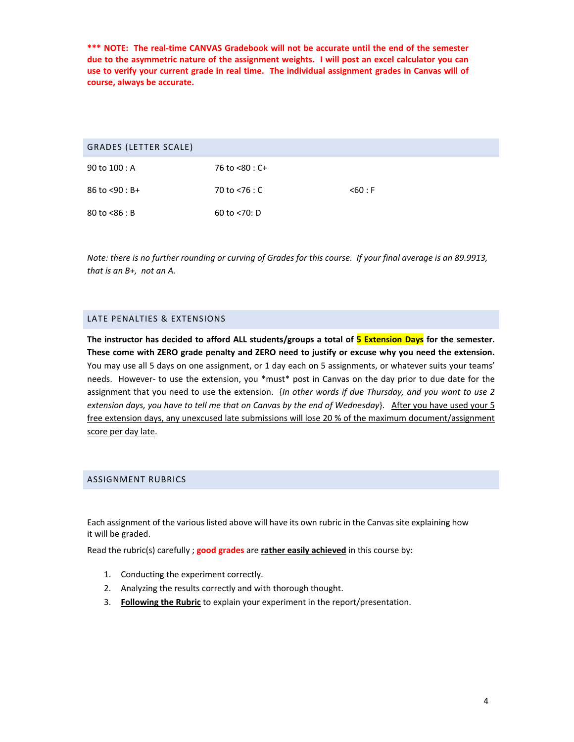**\*\*\* NOTE: The real-time CANVAS Gradebook will not be accurate until the end of the semester due to the asymmetric nature of the assignment weights. I will post an excel calculator you can use to verify your current grade in real time. The individual assignment grades in Canvas will of course, always be accurate.** 

| GRADES (LETTER SCALE) |                  |            |
|-----------------------|------------------|------------|
| 90 to 100 : A         | 76 to <80 : C+   |            |
| $86$ to $< 90 : B +$  | 70 to $<$ 76 : C | $<$ 60 : F |
| $80$ to $< 86 : B$    | 60 to $<$ 70: D  |            |

*Note: there is no further rounding or curving of Grades for this course. If your final average is an 89.9913, that is an B+, not an A.* 

# LATE PENALTIES & EXTENSIONS

**The instructor has decided to afford ALL students/groups a total of 5 Extension Days for the semester. These come with ZERO grade penalty and ZERO need to justify or excuse why you need the extension.** You may use all 5 days on one assignment, or 1 day each on 5 assignments, or whatever suits your teams' needs. However- to use the extension, you \*must\* post in Canvas on the day prior to due date for the assignment that you need to use the extension. {*In other words if due Thursday, and you want to use 2 extension days, you have to tell me that on Canvas by the end of Wednesday*}. After you have used your 5 free extension days, any unexcused late submissions will lose 20 % of the maximum document/assignment score per day late.

# ASSIGNMENT RUBRICS

Each assignment of the various listed above will have its own rubric in the Canvas site explaining how it will be graded.

Read the rubric(s) carefully ; **good grades** are **rather easily achieved** in this course by:

- 1. Conducting the experiment correctly.
- 2. Analyzing the results correctly and with thorough thought.
- 3. **Following the Rubric** to explain your experiment in the report/presentation.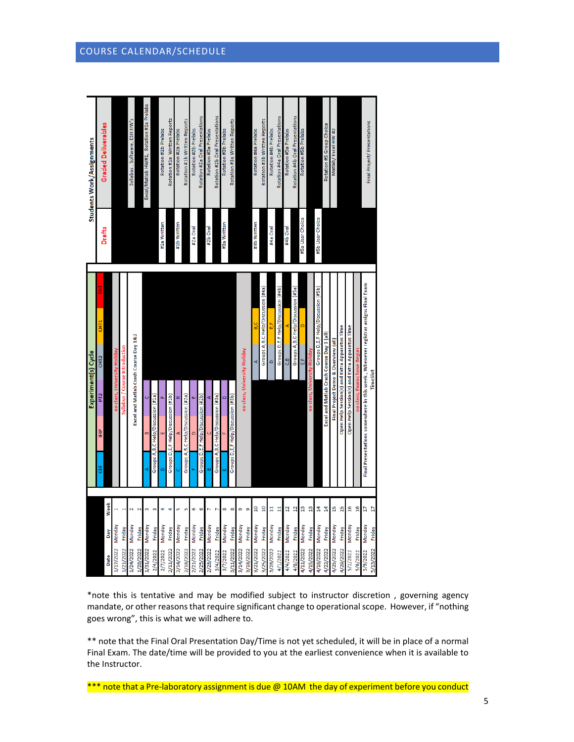| Students Work/Assignments | <b>Graded Deliverables</b>                   |                              |                                | Syllabus, Software, ESH HW's          |           | Excel/Matlab HW#1, Rotation #1a Prelabs |                                    | Rotation #1b Prelabs     | Rotation #1a Written Reports       | Rotation #2a Prelabs | Rotation #1b Written Reports       | Rotation #2b Prelabs | Rotation #2a Oral Presentations    | Rotation #3a Prelabs | Rotation #2b Oral Presentations      | Rotation #3b Prelabs     | Rotation #3a Written Reports       |                              |           | Rotation #4a Prelabs | Rotation #3b Written Reports         | Rotation #4b Prelabs | Rotation #4a Oral Presentations    | Rotation #5a Prelabs | Rotation #4b Oral Presentations      | Rotation #5b Prelabs |                              |                                    | Rotation #5 Group Choice                  | Matlab/Excel HW #2                  |                                               |                                               |                | Final Project/ Presentations                                                       |                |
|---------------------------|----------------------------------------------|------------------------------|--------------------------------|---------------------------------------|-----------|-----------------------------------------|------------------------------------|--------------------------|------------------------------------|----------------------|------------------------------------|----------------------|------------------------------------|----------------------|--------------------------------------|--------------------------|------------------------------------|------------------------------|-----------|----------------------|--------------------------------------|----------------------|------------------------------------|----------------------|--------------------------------------|----------------------|------------------------------|------------------------------------|-------------------------------------------|-------------------------------------|-----------------------------------------------|-----------------------------------------------|----------------|------------------------------------------------------------------------------------|----------------|
|                           | Drafts                                       |                              |                                |                                       |           |                                         |                                    | #1a Written              |                                    | #1b Written          |                                    | #2a Oral             |                                    | #2b Oral             |                                      | #3a Written              |                                    |                              |           | #3b Written          |                                      | #4a Oral             |                                    | #4b Oral             |                                      | #5a User Choice      |                              | #5b User Choice                    |                                           |                                     |                                               |                                               |                |                                                                                    |                |
| Experiment(s) Cycle       | CHT1<br>$C$ HT2<br>PT <sub>2</sub><br>È<br>š | no class, University Holiday | Syllabus / Course Introduction | Excel and Matlab Crash Course Day 1&2 |           |                                         | Groups A,B,C Help/Discussion (#1a) | $\overline{\phantom{0}}$ | Groups D,E,F Help/Discussion (#1b) |                      | Groups A,B,C Help/Discussion (#2a) |                      | Groups D,E,F Help/Discussion (#2b) | œ                    | Groups A, B, C Help/Discussion (#3a) | $\overline{\phantom{0}}$ | Groups D,E,F Help/Discussion (#3b) | no class, University Holiday |           | ¢                    | Groups A, B, C Help/Discussion (#4a) | $\circ$              | Groups D,E,F Help/Discussion (#4b) | e3                   | Groups A, B, C Help/Discussion (#5a) | ۴,                   | no class, University Holiday | Groups D,E,F Help/Discussion (#5b) | Excel and Matlab Crash Course Day 3 (all) | Final Project Demo & Overview (all) | Open Help Session(s) and Extra Apparatus Time | Open Help Session(s) and Extra Apparatus Time | EXam           | Final Presentations somewhere in this week , Whenever registrar assigns Final Exam | TimeSlot       |
|                           |                                              | Week                         |                                | $\overline{a}$                        |           | m                                       |                                    | ¢                        | ą                                  |                      | ú                                  | o                    | G                                  |                      |                                      | œ                        | œ                                  | o                            | o         | $\overline{a}$       | $\frac{1}{2}$                        | Ħ                    | E                                  | $\overline{1}$       | $\overline{a}$                       | g                    | $\frac{3}{2}$                | 4                                  | $\frac{4}{3}$                             | p                                   | 15                                            | å                                             | $\frac{6}{16}$ | Þ                                                                                  | $\overline{a}$ |
|                           |                                              | Monday<br>Day                | Friday                         | Monday                                | Friday    | Monday                                  | Friday                             | Monday                   | Friday                             | Monday               | Friday                             | Monday               | Friday                             | Monday               | Friday                               | <b>Monday</b>            | Friday                             |                              | Friday    |                      | Friday                               |                      | Friday                             | <b>Monday</b>        | Friday                               | <b>Monday</b>        | Friday                       | Monday                             | Friday                                    | Monday                              | Friday                                        | Monday                                        | Friday         | Monday                                                                             | Friday         |
|                           |                                              | 1/17/2022<br>Date            | 1/21/2022                      | 1/24/2022                             | 1/28/2022 | 1/31/2022                               | 2/4/2022                           | 2/7/2022                 | 2/11/2022                          | 2/14/2022            | 2/18/2022                          | 2/21/2022            | 2/25/2022                          | 2/28/2022            | 3/4/2022                             | 3/7/2022                 | 3/11/2022                          | 3/14/2022 Monday             | 3/18/2022 | 3/21/2022 Monday     | 3/25/2022                            | 3/28/2022 Monday     | 4/1/2022                           | 4/4/2022             | 4/8/2022                             | 4/11/2022            | 4/15/2022                    | 4/18/2022                          | 4/22/2022                                 | 4/25/2022                           | 4/29/2022                                     | 5/2/2022                                      | 5/6/2022       | 5/9/2022                                                                           | 5/13/2022      |

\*note this is tentative and may be modified subject to instructor discretion , governing agency mandate, or other reasons that require significant change to operational scope. However, if "nothing goes wrong", this is what we will adhere to.

\*\* note that the Final Oral Presentation Day/Time is not yet scheduled, it will be in place of a normal Final Exam. The date/time will be provided to you at the earliest convenience when it is available to the Instructor.

\*\*\* note that a Pre-laboratory assignment is due @ 10AM the day of experiment before you conduct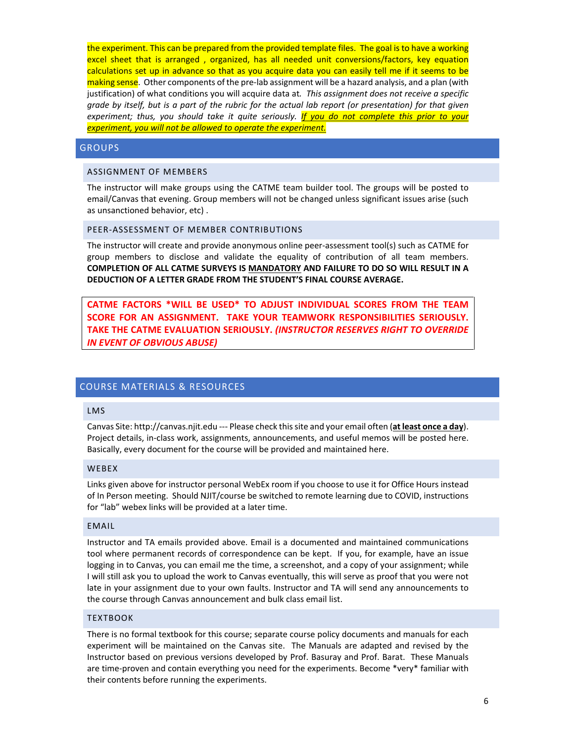the experiment. This can be prepared from the provided template files. The goal is to have a working excel sheet that is arranged , organized, has all needed unit conversions/factors, key equation calculations set up in advance so that as you acquire data you can easily tell me if it seems to be making sense. Other components of the pre-lab assignment will be a hazard analysis, and a plan (with justification) of what conditions you will acquire data at*. This assignment does not receive a specific grade by itself, but is a part of the rubric for the actual lab report (or presentation) for that given experiment; thus, you should take it quite seriously. If you do not complete this prior to your experiment, you will not be allowed to operate the experiment.*

### **GROUPS**

#### ASSIGNMENT OF MEMBERS

The instructor will make groups using the CATME team builder tool. The groups will be posted to email/Canvas that evening. Group members will not be changed unless significant issues arise (such as unsanctioned behavior, etc) .

#### PEER-ASSESSMENT OF MEMBER CONTRIBUTIONS

The instructor will create and provide anonymous online peer-assessment tool(s) such as CATME for group members to disclose and validate the equality of contribution of all team members. **COMPLETION OF ALL CATME SURVEYS IS MANDATORY AND FAILURE TO DO SO WILL RESULT IN A DEDUCTION OF A LETTER GRADE FROM THE STUDENT'S FINAL COURSE AVERAGE.** 

**CATME FACTORS \*WILL BE USED\* TO ADJUST INDIVIDUAL SCORES FROM THE TEAM SCORE FOR AN ASSIGNMENT. TAKE YOUR TEAMWORK RESPONSIBILITIES SERIOUSLY. TAKE THE CATME EVALUATION SERIOUSLY.** *(INSTRUCTOR RESERVES RIGHT TO OVERRIDE IN EVENT OF OBVIOUS ABUSE)*

# COURSE MATERIALS & RESOURCES

## LMS

Canvas Site: http://canvas.njit.edu --- Please check this site and your email often (**at least once a day**). Project details, in-class work, assignments, announcements, and useful memos will be posted here. Basically, every document for the course will be provided and maintained here.

#### WEBEX

Links given above for instructor personal WebEx room if you choose to use it for Office Hours instead of In Person meeting. Should NJIT/course be switched to remote learning due to COVID, instructions for "lab" webex links will be provided at a later time.

#### EMAIL

Instructor and TA emails provided above. Email is a documented and maintained communications tool where permanent records of correspondence can be kept. If you, for example, have an issue logging in to Canvas, you can email me the time, a screenshot, and a copy of your assignment; while I will still ask you to upload the work to Canvas eventually, this will serve as proof that you were not late in your assignment due to your own faults. Instructor and TA will send any announcements to the course through Canvas announcement and bulk class email list.

#### **TEXTBOOK**

There is no formal textbook for this course; separate course policy documents and manuals for each experiment will be maintained on the Canvas site. The Manuals are adapted and revised by the Instructor based on previous versions developed by Prof. Basuray and Prof. Barat. These Manuals are time-proven and contain everything you need for the experiments. Become \*very\* familiar with their contents before running the experiments.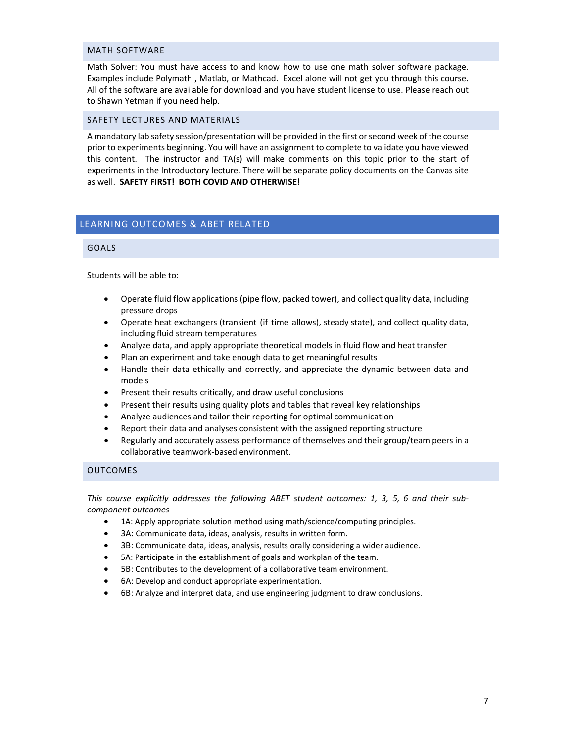#### MATH SOFTWARE

Math Solver: You must have access to and know how to use one math solver software package. Examples include Polymath , Matlab, or Mathcad. Excel alone will not get you through this course. All of the software are available for download and you have student license to use. Please reach out to Shawn Yetman if you need help.

#### SAFETY LECTURES AND MATERIALS

A mandatory lab safety session/presentation will be provided in the first or second week of the course prior to experiments beginning. You will have an assignment to complete to validate you have viewed this content. The instructor and TA(s) will make comments on this topic prior to the start of experiments in the Introductory lecture. There will be separate policy documents on the Canvas site as well. **SAFETY FIRST! BOTH COVID AND OTHERWISE!** 

# LEARNING OUTCOMES & ABET RELATED

#### GOALS

Students will be able to:

- Operate fluid flow applications (pipe flow, packed tower), and collect quality data, including pressure drops
- Operate heat exchangers (transient (if time allows), steady state), and collect quality data, including fluid stream temperatures
- Analyze data, and apply appropriate theoretical models in fluid flow and heat transfer
- Plan an experiment and take enough data to get meaningful results
- Handle their data ethically and correctly, and appreciate the dynamic between data and models
- Present their results critically, and draw useful conclusions
- Present their results using quality plots and tables that reveal key relationships
- Analyze audiences and tailor their reporting for optimal communication
- Report their data and analyses consistent with the assigned reporting structure
- Regularly and accurately assess performance of themselves and their group/team peers in a collaborative teamwork-based environment.

# OUTCOMES

*This course explicitly addresses the following ABET student outcomes: 1, 3, 5, 6 and their subcomponent outcomes*

- 1A: Apply appropriate solution method using math/science/computing principles.
- 3A: Communicate data, ideas, analysis, results in written form.
- 3B: Communicate data, ideas, analysis, results orally considering a wider audience.
- 5A: Participate in the establishment of goals and workplan of the team.
- 5B: Contributes to the development of a collaborative team environment.
- 6A: Develop and conduct appropriate experimentation.
- 6B: Analyze and interpret data, and use engineering judgment to draw conclusions.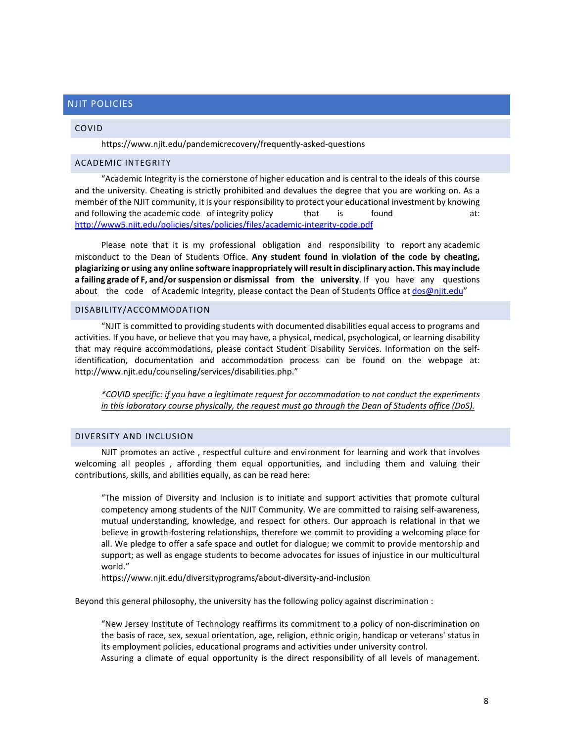# NJIT POLICIES

#### COVID

https://www.njit.edu/pandemicrecovery/frequently-asked-questions

#### ACADEMIC INTEGRITY

"Academic Integrity is the cornerstone of higher education and is central to the ideals of this course and the university. Cheating is strictly prohibited and devalues the degree that you are working on. As a member of the NJIT community, it is your responsibility to protect your educational investment by knowing and following the academic code of integrity policy that is found at: that is found at: http://www5.njit.edu/policies/sites/policies/files/academic-integrity-code.pdf

Please note that it is my professional obligation and responsibility to report any academic misconduct to the Dean of Students Office. **Any student found in violation of the code by cheating, plagiarizing or using any online software inappropriately will resultin disciplinary action. This may include a failing grade of F, and/orsuspension or dismissal from the university**. If you have any questions about the code of Academic Integrity, please contact the Dean of Students Office at dos@njit.edu"

# DISABILITY/ACCOMMODATION

"NJIT is committed to providing students with documented disabilities equal access to programs and activities. If you have, or believe that you may have, a physical, medical, psychological, or learning disability that may require accommodations, please contact Student Disability Services. Information on the selfidentification, documentation and accommodation process can be found on the webpage at: http://www.njit.edu/counseling/services/disabilities.php."

*\*COVID specific: if you have a legitimate request for accommodation to not conduct the experiments in this laboratory course physically, the request must go through the Dean of Students office (DoS).*

#### DIVERSITY AND INCLUSION

NJIT promotes an active , respectful culture and environment for learning and work that involves welcoming all peoples , affording them equal opportunities, and including them and valuing their contributions, skills, and abilities equally, as can be read here:

"The mission of Diversity and Inclusion is to initiate and support activities that promote cultural competency among students of the NJIT Community. We are committed to raising self-awareness, mutual understanding, knowledge, and respect for others. Our approach is relational in that we believe in growth-fostering relationships, therefore we commit to providing a welcoming place for all. We pledge to offer a safe space and outlet for dialogue; we commit to provide mentorship and support; as well as engage students to become advocates for issues of injustice in our multicultural world."

https://www.njit.edu/diversityprograms/about-diversity-and-inclusion

Beyond this general philosophy, the university has the following policy against discrimination :

"New Jersey Institute of Technology reaffirms its commitment to a policy of non-discrimination on the basis of race, sex, sexual orientation, age, religion, ethnic origin, handicap or veterans' status in its employment policies, educational programs and activities under university control. Assuring a climate of equal opportunity is the direct responsibility of all levels of management.